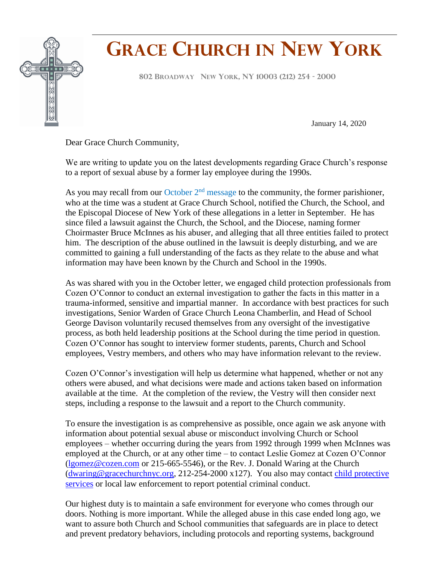

## **GRACE CHURCH IN NEW YORK**

**<sup>802</sup> <sup>B</sup>ROADWAY NEW YORK, NY <sup>10003</sup> (212) <sup>254</sup> - <sup>2000</sup> F**

January 14, 2020

Dear Grace Church Community,

We are writing to update you on the latest developments regarding Grace Church's response to a report of sexual abuse by a former lay employee during the 1990s.

As you may recall from our October  $2<sup>nd</sup>$  message to the community, the former parishioner, who at the time was a student at Grace Church School, notified the Church, the School, and the Episcopal Diocese of New York of these allegations in a letter in September. He has since filed a lawsuit against the Church, the School, and the Diocese, naming former Choirmaster Bruce McInnes as his abuser, and alleging that all three entities failed to protect him. The description of the abuse outlined in the lawsuit is deeply disturbing, and we are committed to gaining a full understanding of the facts as they relate to the abuse and what information may have been known by the Church and School in the 1990s.

As was shared with you in the October letter, we engaged child protection professionals from Cozen O'Connor to conduct an external investigation to gather the facts in this matter in a trauma-informed, sensitive and impartial manner. In accordance with best practices for such investigations, Senior Warden of Grace Church Leona Chamberlin, and Head of School George Davison voluntarily recused themselves from any oversight of the investigative process, as both held leadership positions at the School during the time period in question. Cozen O'Connor has sought to interview former students, parents, Church and School employees, Vestry members, and others who may have information relevant to the review.

Cozen O'Connor's investigation will help us determine what happened, whether or not any others were abused, and what decisions were made and actions taken based on information available at the time. At the completion of the review, the Vestry will then consider next steps, including a response to the lawsuit and a report to the Church community.

To ensure the investigation is as comprehensive as possible, once again we ask anyone with information about potential sexual abuse or misconduct involving Church or School employees – whether occurring during the years from 1992 through 1999 when McInnes was employed at the Church, or at any other time – to contact Leslie Gomez at Cozen O'Connor [\(lgomez@cozen.com](mailto:lgomez@cozen.com) or 215-665-5546), or the Rev. J. Donald Waring at the Church [\(dwaring@gracechurchnyc.org,](mailto:dwaring@gracechurchnyc.org) 212-254-2000 x127). You also may contact [child protective](https://ocfs.ny.gov/main/contact/)  [services](https://ocfs.ny.gov/main/contact/) or local law enforcement to report potential criminal conduct.

Our highest duty is to maintain a safe environment for everyone who comes through our doors. Nothing is more important. While the alleged abuse in this case ended long ago, we want to assure both Church and School communities that safeguards are in place to detect and prevent predatory behaviors, including protocols and reporting systems, background